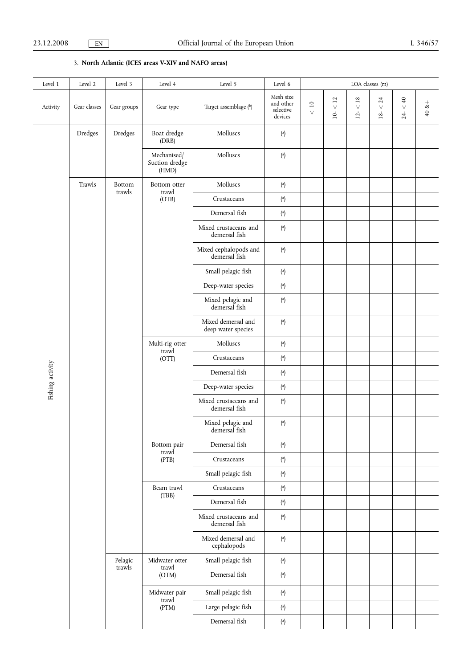3. **North Atlantic (ICES areas V-XIV and NAFO areas)**

| Level 1          | Level 2      | Level 3           | Level 4                                                             | Level 5                                                                                           | Level 6                                                     | LOA classes (m) |                  |                  |                             |                  |        |
|------------------|--------------|-------------------|---------------------------------------------------------------------|---------------------------------------------------------------------------------------------------|-------------------------------------------------------------|-----------------|------------------|------------------|-----------------------------|------------------|--------|
| Activity         | Gear classes | Gear groups       | Gear type                                                           | Target assemblage (b)                                                                             | Mesh size<br>and other<br>selective<br>devices              | $10$<br>$\vee$  | $<12\,$<br>$10-$ | $<18\,$<br>$12-$ | 24<br>$\checkmark$<br>$18-$ | $< 40$<br>$24 -$ | $+8$ 0 |
|                  | Dredges      | Dredges           | Boat dredge<br>(DRB)                                                | Molluscs                                                                                          | $\binom{a}{b}$                                              |                 |                  |                  |                             |                  |        |
|                  |              |                   | Mechanised/<br>Suction dredge<br>(HMD)                              | Molluscs                                                                                          | ${a}$                                                       |                 |                  |                  |                             |                  |        |
|                  | Trawls       | Bottom            | Bottom otter<br>trawl<br>(OTB)                                      | Molluscs                                                                                          | $\left( \begin{smallmatrix} a \\ \end{smallmatrix} \right)$ |                 |                  |                  |                             |                  |        |
|                  |              | trawls            |                                                                     | Crustaceans                                                                                       | $\binom{a}{b}$                                              |                 |                  |                  |                             |                  |        |
|                  |              |                   |                                                                     | Demersal fish                                                                                     | $\binom{a}{b}$                                              |                 |                  |                  |                             |                  |        |
|                  |              |                   |                                                                     | Mixed crustaceans and<br>demersal fish                                                            | $\binom{a}{b}$                                              |                 |                  |                  |                             |                  |        |
|                  |              |                   |                                                                     | Mixed cephalopods and<br>demersal fish                                                            | $\binom{a}{b}$                                              |                 |                  |                  |                             |                  |        |
|                  |              |                   |                                                                     | Small pelagic fish                                                                                | ${a} \choose{b}$                                            |                 |                  |                  |                             |                  |        |
|                  |              |                   |                                                                     | Deep-water species                                                                                | $\binom{a}{b}$                                              |                 |                  |                  |                             |                  |        |
|                  |              |                   |                                                                     | Mixed pelagic and<br>demersal fish                                                                | $\left( \begin{smallmatrix} a \\ \end{smallmatrix} \right)$ |                 |                  |                  |                             |                  |        |
|                  |              |                   |                                                                     | Mixed demersal and<br>deep water species                                                          | $\binom{a}{b}$                                              |                 |                  |                  |                             |                  |        |
|                  |              |                   | Multi-rig otter                                                     | Molluscs                                                                                          | $\left( \begin{smallmatrix} a \\ \end{smallmatrix} \right)$ |                 |                  |                  |                             |                  |        |
|                  |              | Pelagic<br>trawls | trawl<br>(OTT)                                                      | Crustaceans                                                                                       | $\left( \begin{smallmatrix} a \\ \end{smallmatrix} \right)$ |                 |                  |                  |                             |                  |        |
| Fishing activity |              |                   |                                                                     | Demersal fish                                                                                     | ${a} \choose{b}$                                            |                 |                  |                  |                             |                  |        |
|                  |              |                   |                                                                     | Deep-water species                                                                                | $\left( \begin{smallmatrix} a \\ \end{smallmatrix} \right)$ |                 |                  |                  |                             |                  |        |
|                  |              |                   |                                                                     | Mixed crustaceans and<br>demersal fish                                                            | $\left( \begin{smallmatrix} a \\ \end{smallmatrix} \right)$ |                 |                  |                  |                             |                  |        |
|                  |              |                   |                                                                     | Mixed pelagic and<br>$\left( \begin{smallmatrix} a \\ \end{smallmatrix} \right)$<br>demersal fish |                                                             |                 |                  |                  |                             |                  |        |
|                  |              |                   | Bottom pair<br>trawl<br>(PTB)<br>Beam trawl<br>(TBB)                | Demersal fish                                                                                     | $\left( \begin{matrix} a \\ c \end{matrix} \right)$         |                 |                  |                  |                             |                  |        |
|                  |              |                   |                                                                     | Crustaceans                                                                                       | $\left( \begin{smallmatrix} a \\ \end{smallmatrix} \right)$ |                 |                  |                  |                             |                  |        |
|                  |              |                   |                                                                     | Small pelagic fish                                                                                | $\left( \begin{smallmatrix} a \\ \end{smallmatrix} \right)$ |                 |                  |                  |                             |                  |        |
|                  |              |                   |                                                                     | Crustaceans                                                                                       | $\left( \begin{smallmatrix} a \\ \end{smallmatrix} \right)$ |                 |                  |                  |                             |                  |        |
|                  |              |                   |                                                                     | Demersal fish                                                                                     | $\left( \begin{smallmatrix} a \\ \end{smallmatrix} \right)$ |                 |                  |                  |                             |                  |        |
|                  |              |                   |                                                                     | Mixed crustaceans and<br>demersal fish                                                            | $\binom{a}{b}$                                              |                 |                  |                  |                             |                  |        |
|                  |              |                   |                                                                     | Mixed demersal and<br>cephalopods                                                                 | $\binom{a}{b}$                                              |                 |                  |                  |                             |                  |        |
|                  |              |                   | Midwater otter<br>trawl<br>(OTM)<br>Midwater pair<br>trawl<br>(PTM) | Small pelagic fish                                                                                | $\left( \begin{smallmatrix} a \\ \end{smallmatrix} \right)$ |                 |                  |                  |                             |                  |        |
|                  |              |                   |                                                                     | Demersal fish                                                                                     | $\binom{a}{b}$                                              |                 |                  |                  |                             |                  |        |
|                  |              |                   |                                                                     | Small pelagic fish                                                                                | $\left( \begin{smallmatrix} a \\ \end{smallmatrix} \right)$ |                 |                  |                  |                             |                  |        |
|                  |              |                   |                                                                     | Large pelagic fish                                                                                | $\binom{a}{b}$                                              |                 |                  |                  |                             |                  |        |
|                  |              |                   |                                                                     | Demersal fish                                                                                     | $\left( \begin{smallmatrix} a \\ \end{smallmatrix} \right)$ |                 |                  |                  |                             |                  |        |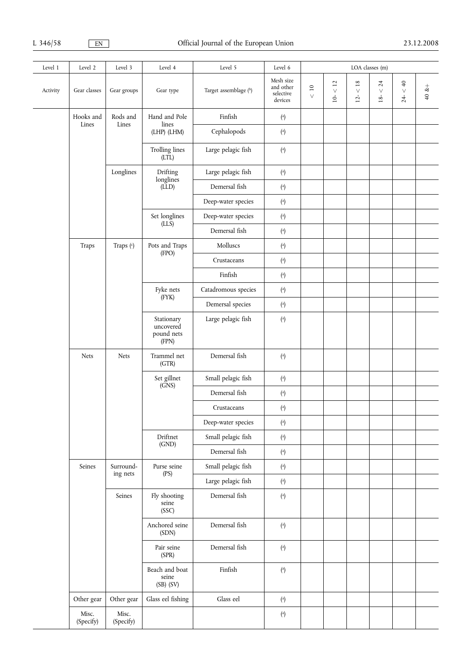| Level 1  | Level 2            | Level 3               | Level 4                                                         | Level 5               | Level 6                                                     | LOA classes (m)           |                                                             |                   |                       |                      |         |  |
|----------|--------------------|-----------------------|-----------------------------------------------------------------|-----------------------|-------------------------------------------------------------|---------------------------|-------------------------------------------------------------|-------------------|-----------------------|----------------------|---------|--|
| Activity | Gear classes       | Gear groups           | Gear type                                                       | Target assemblage (b) | Mesh size<br>and other<br>selective<br>devices              | $\overline{10}$<br>$\vee$ | $<12\,$<br>$10-$                                            | $<18\,$<br>$12 -$ | 24<br>$\vee$<br>$18-$ | $\frac{40}{5}$<br>24 | $40x +$ |  |
|          | Hooks and          | Rods and              | Hand and Pole                                                   | Finfish               | $\binom{a}{b}$                                              |                           |                                                             |                   |                       |                      |         |  |
|          | Lines              | Lines                 | lines<br>(LHP) (LHM)                                            | Cephalopods           | $\left( \begin{smallmatrix} a \\ \end{smallmatrix} \right)$ |                           |                                                             |                   |                       |                      |         |  |
|          |                    |                       | <b>Trolling lines</b><br>(LTL)                                  | Large pelagic fish    | $\left( \begin{matrix} a \\ c \end{matrix} \right)$         |                           |                                                             |                   |                       |                      |         |  |
|          |                    | Longlines             | Drifting<br>longlines                                           | Large pelagic fish    | $\left( \begin{matrix} a \\ c \end{matrix} \right)$         |                           |                                                             |                   |                       |                      |         |  |
|          |                    |                       | (LLD)                                                           | Demersal fish         | $\binom{a}{b}$                                              |                           |                                                             |                   |                       |                      |         |  |
|          |                    |                       |                                                                 | Deep-water species    | $\left( \begin{matrix} a \\ c \end{matrix} \right)$         |                           |                                                             |                   |                       |                      |         |  |
|          |                    |                       | Set longlines<br>$(LL\bar{S})$                                  | Deep-water species    | $\left( \begin{matrix} a \\ c \end{matrix} \right)$         |                           |                                                             |                   |                       |                      |         |  |
|          |                    |                       |                                                                 | Demersal fish         | $\left( \begin{matrix} a \\ c \end{matrix} \right)$         |                           |                                                             |                   |                       |                      |         |  |
|          | Traps              | Traps (c)             | Pots and Traps<br>(FPO)                                         | Molluscs              | $\left( \begin{matrix} a \\ c \end{matrix} \right)$         |                           |                                                             |                   |                       |                      |         |  |
|          |                    |                       |                                                                 | Crustaceans           | $\left( \begin{smallmatrix} a \\ \end{smallmatrix} \right)$ |                           |                                                             |                   |                       |                      |         |  |
|          |                    |                       |                                                                 | Finfish               | $\left( \begin{smallmatrix} a \\ \end{smallmatrix} \right)$ |                           |                                                             |                   |                       |                      |         |  |
|          |                    |                       | Fyke nets<br>(FYK)                                              | Catadromous species   | $\left( \begin{smallmatrix} a \\ \end{smallmatrix} \right)$ |                           |                                                             |                   |                       |                      |         |  |
|          |                    |                       |                                                                 | Demersal species      | $\left( \begin{smallmatrix} a \\ \end{smallmatrix} \right)$ |                           |                                                             |                   |                       |                      |         |  |
|          |                    |                       | Stationary<br>uncovered<br>pound nets<br>(FPN)                  | Large pelagic fish    | $\left( \begin{smallmatrix} a \\ \end{smallmatrix} \right)$ |                           |                                                             |                   |                       |                      |         |  |
|          | <b>Nets</b>        | <b>Nets</b>           | Trammel net<br>(GTR)                                            | Demersal fish         | $\left( \begin{matrix} a \\ c \end{matrix} \right)$         |                           |                                                             |                   |                       |                      |         |  |
|          |                    |                       | Set gillnet<br>(SNS)<br>Driftnet                                | Small pelagic fish    | $\left( \begin{matrix} a \\ c \end{matrix} \right)$         |                           |                                                             |                   |                       |                      |         |  |
|          |                    |                       |                                                                 | Demersal fish         | $\left( \begin{smallmatrix} a \\ \end{smallmatrix} \right)$ |                           |                                                             |                   |                       |                      |         |  |
|          |                    |                       |                                                                 | Crustaceans           | $\left( \begin{smallmatrix} a \\ \end{smallmatrix} \right)$ |                           |                                                             |                   |                       |                      |         |  |
|          |                    |                       |                                                                 | Deep-water species    | $\left( \begin{smallmatrix} a \\ \end{smallmatrix} \right)$ |                           |                                                             |                   |                       |                      |         |  |
|          |                    |                       |                                                                 | Small pelagic fish    | $\left( \begin{smallmatrix} a \\ \end{smallmatrix} \right)$ |                           |                                                             |                   |                       |                      |         |  |
|          |                    |                       |                                                                 |                       | (GND)                                                       | Demersal fish             | $\left( \begin{smallmatrix} a \\ \end{smallmatrix} \right)$ |                   |                       |                      |         |  |
|          | Seines             | Surround-<br>ing nets | Purse seine                                                     | Small pelagic fish    | $\left( \begin{smallmatrix} a \\ \end{smallmatrix} \right)$ |                           |                                                             |                   |                       |                      |         |  |
|          |                    |                       | (PS)                                                            | Large pelagic fish    | $\left( \begin{smallmatrix} a \\ \end{smallmatrix} \right)$ |                           |                                                             |                   |                       |                      |         |  |
|          |                    | Seines                | Fly shooting<br>seine<br>(SSC)                                  | Demersal fish         | $\left( \begin{matrix} a \\ c \end{matrix} \right)$         |                           |                                                             |                   |                       |                      |         |  |
|          |                    |                       | Anchored seine<br>(SDN)                                         | Demersal fish         | $\left( \begin{smallmatrix} a \\ \end{smallmatrix} \right)$ |                           |                                                             |                   |                       |                      |         |  |
|          |                    |                       | Pair seine<br>(SPR)<br>Beach and boat<br>seine<br>$(SB)$ $(SV)$ | Demersal fish         | $\left( \begin{smallmatrix} a \\ \end{smallmatrix} \right)$ |                           |                                                             |                   |                       |                      |         |  |
|          |                    |                       |                                                                 | Finfish               | $\binom{a}{b}$                                              |                           |                                                             |                   |                       |                      |         |  |
|          | Other gear         | Other gear            | Glass eel fishing                                               | Glass eel             | $\binom{a}{b}$                                              |                           |                                                             |                   |                       |                      |         |  |
|          | Misc.<br>(Specify) | Misc.<br>(Specify)    |                                                                 |                       | $\binom{a}{b}$                                              |                           |                                                             |                   |                       |                      |         |  |